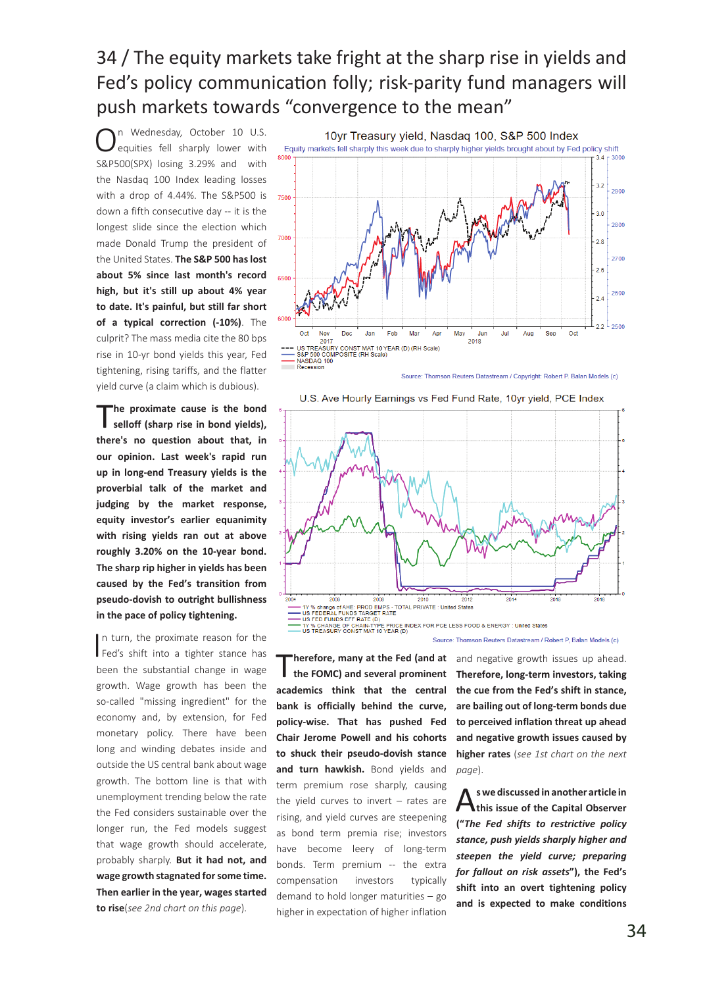## 34 / The equity markets take fright at the sharp rise in yields and Fed's policy communication folly; risk-parity fund managers will push markets towards "convergence to the mean"

n Wednesday, October 10 U.S. equities fell sharply lower with S&P500(SPX) losing 3.29% and with the Nasdaq 100 Index leading losses with a drop of 4.44%. The S&P500 is down a fifth consecutive day -- it is the longest slide since the election which made Donald Trump the president of the United States. **The S&P 500 has lost about 5% since last month's record high, but it's still up about 4% year to date. It's painful, but still far short of a typical correction (-10%)**. The culprit? The mass media cite the 80 bps rise in 10-yr bond yields this year, Fed tightening, rising tariffs, and the flatter yield curve (a claim which is dubious).

The proximate cause is the bond selloff (sharp rise in bond yields), **there's no question about that, in our opinion. Last week's rapid run up in long-end Treasury yields is the proverbial talk of the market and judging by the market response, equity investor's earlier equanimity with rising yields ran out at above roughly 3.20% on the 10-year bond. The sharp rip higher in yields has been caused by the Fed's transition from pseudo-dovish to outright bullishness in the pace of policy tightening.** 

In turn, the proximate reason for the<br>Fed's shift into a tighter stance has n turn, the proximate reason for the been the substantial change in wage growth. Wage growth has been the so-called "missing ingredient" for the economy and, by extension, for Fed monetary policy. There have been long and winding debates inside and outside the US central bank about wage growth. The bottom line is that with unemployment trending below the rate the Fed considers sustainable over the longer run, the Fed models suggest that wage growth should accelerate, probably sharply. **But it had not, and wage growth stagnated for some time. Then earlier in the year, wages started to rise**(*see 2nd chart on this page*).



Source: Thomson Reuters Datastream / Copyright: Robert P. Balan Models (c)



U.S. Ave Hourly Earnings vs Fed Fund Rate, 10yr yield, PCE Index

Source: Thomson Reuters Datastream / Robert P. Balan Models (c)

T**herefore, many at the Fed (and at the FOMC) and several prominent academics think that the central bank is officially behind the curve, policy-wise. That has pushed Fed Chair Jerome Powell and his cohorts to shuck their pseudo-dovish stance and turn hawkish.** Bond yields and term premium rose sharply, causing the yield curves to invert – rates are rising, and yield curves are steepening as bond term premia rise; investors have become leery of long-term bonds. Term premium -- the extra compensation investors typically demand to hold longer maturities – go higher in expectation of higher inflation

and negative growth issues up ahead. **Therefore, long-term investors, taking the cue from the Fed's shift in stance, are bailing out of long-term bonds due to perceived inflation threat up ahead and negative growth issues caused by higher rates** (*see 1st chart on the next page*).

A**s we discussed in another article in this issue of the Capital Observer ("***The Fed shifts to restrictive policy stance, push yields sharply higher and steepen the yield curve; preparing for fallout on risk assets***"), the Fed's shift into an overt tightening policy and is expected to make conditions**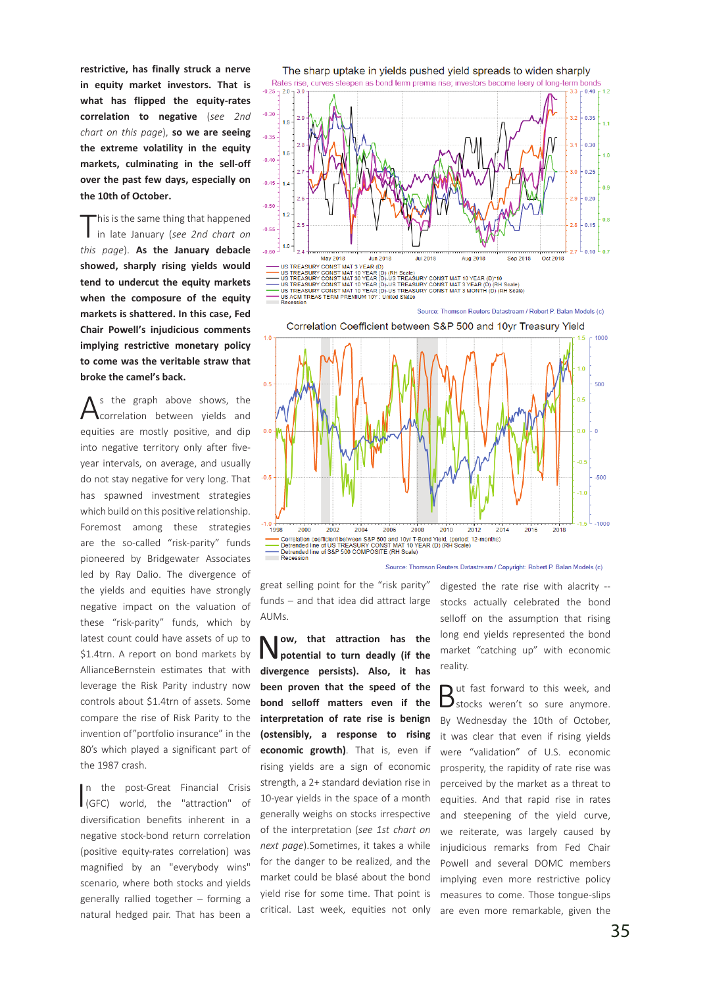**restrictive, has finally struck a nerve in equity market investors. That is what has flipped the equity-rates correlation to negative** (*see 2nd chart on this page*), **so we are seeing the extreme volatility in the equity markets, culminating in the sell-off over the past few days, especially on the 10th of October.** 

This is the same thing that happened<br>in late January (*see 2nd chart on this page*). **As the January debacle showed, sharply rising yields would tend to undercut the equity markets when the composure of the equity markets is shattered. In this case, Fed Chair Powell's injudicious comments implying restrictive monetary policy to come was the veritable straw that broke the camel's back.** 

 $A<sup>s</sup>$  the graph above shows, the correlation between yields and equities are mostly positive, and dip into negative territory only after fiveyear intervals, on average, and usually do not stay negative for very long. That has spawned investment strategies which build on this positive relationship. Foremost among these strategies are the so-called "risk-parity" funds pioneered by Bridgewater Associates led by Ray Dalio. The divergence of the yields and equities have strongly negative impact on the valuation of these "risk-parity" funds, which by latest count could have assets of up to \$1.4trn. A report on bond markets by AllianceBernstein estimates that with leverage the Risk Parity industry now controls about \$1.4trn of assets. Some compare the rise of Risk Parity to the invention of"portfolio insurance" in the 80's which played a significant part of the 1987 crash.

I (GFC) world, the "attraction" of n the post-Great Financial Crisis diversification benefits inherent in a negative stock-bond return correlation (positive equity-rates correlation) was magnified by an "everybody wins" scenario, where both stocks and yields generally rallied together – forming a natural hedged pair. That has been a



great selling point for the "risk parity" funds – and that idea did attract large AUMs.

2004

Detrended line of S&P 500 COMPOSITE (RH Scale

2006

Correlation coefficient between S&P 500 and 10yr T-Bond Yield, (period:<br>Detrended line of US TREASURY CONST MAT 10 YEAR (D) (RH Scale

2008

2010

2012

d: 12-months)

2014

Source: Thomson Reuters Datastream / Copyright: Robert P. Balan Models (c)

1998

2000

Recession

Correlation coefficient h

2002

N**ow, that attraction has the potential to turn deadly (if the divergence persists). Also, it has been proven that the speed of the bond selloff matters even if the interpretation of rate rise is benign (ostensibly, a response to rising economic growth)**. That is, even if rising yields are a sign of economic strength, a 2+ standard deviation rise in 10-year yields in the space of a month generally weighs on stocks irrespective of the interpretation (*see 1st chart on next page*).Sometimes, it takes a while for the danger to be realized, and the market could be blasé about the bond yield rise for some time. That point is critical. Last week, equities not only digested the rate rise with alacrity - stocks actually celebrated the bond selloff on the assumption that rising long end yields represented the bond market "catching up" with economic reality.

2016

2018

 $-500$ 

 $-1000$ 

 $-10$ 

But fast forward to this week, and<br>
Stocks weren't so sure anymore. By Wednesday the 10th of October, it was clear that even if rising yields were "validation" of U.S. economic prosperity, the rapidity of rate rise was perceived by the market as a threat to equities. And that rapid rise in rates and steepening of the yield curve, we reiterate, was largely caused by injudicious remarks from Fed Chair Powell and several DOMC members implying even more restrictive policy measures to come. Those tongue-slips are even more remarkable, given the